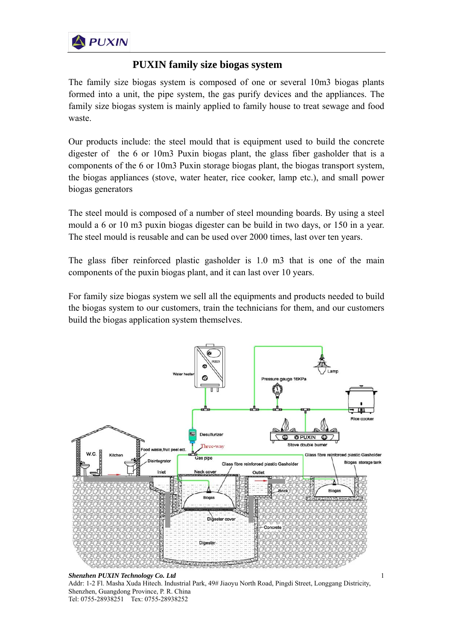

## **PUXIN family size biogas system**

The family size biogas system is composed of one or several 10m3 biogas plants formed into a unit, the pipe system, the gas purify devices and the appliances. The family size biogas system is mainly applied to family house to treat sewage and food waste.

Our products include: the steel mould that is equipment used to build the concrete digester of the 6 or 10m3 Puxin biogas plant, the glass fiber gasholder that is a components of the 6 or 10m3 Puxin storage biogas plant, the biogas transport system, the biogas appliances (stove, water heater, rice cooker, lamp etc.), and small power biogas generators

The steel mould is composed of a number of steel mounding boards. By using a steel mould a 6 or 10 m3 puxin biogas digester can be build in two days, or 150 in a year. The steel mould is reusable and can be used over 2000 times, last over ten years.

The glass fiber reinforced plastic gasholder is 1.0 m3 that is one of the main components of the puxin biogas plant, and it can last over 10 years.

For family size biogas system we sell all the equipments and products needed to build the biogas system to our customers, train the technicians for them, and our customers build the biogas application system themselves.



*Shenzhen PUXIN Technology Co. Ltd*  Addr: 1-2 Fl. Masha Xuda Hitech. Industrial Park, 49# Jiaoyu North Road, Pingdi Street, Longgang Districity, Shenzhen, Guangdong Province, P. R. China Tel: 0755-28938251 Tex: 0755-28938252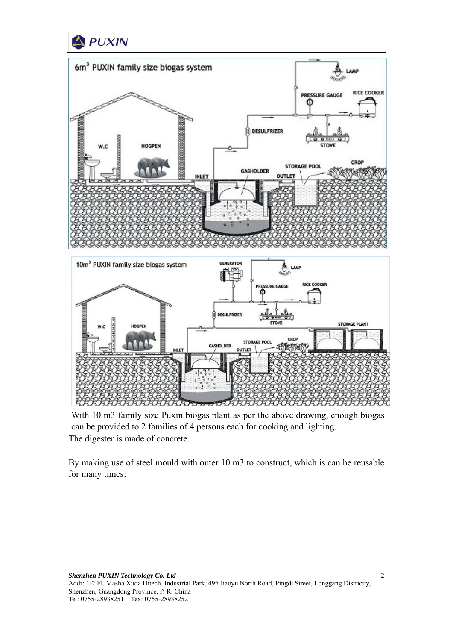



With 10 m3 family size Puxin biogas plant as per the above drawing, enough biogas can be provided to 2 families of 4 persons each for cooking and lighting. The digester is made of concrete.

 By making use of steel mould with outer 10 m3 to construct, which is can be reusable for many times: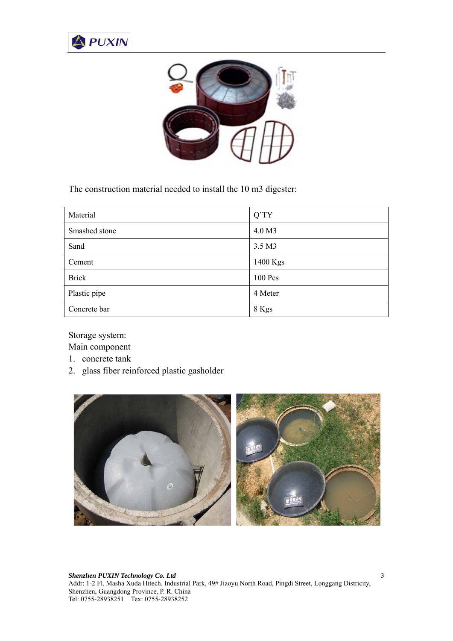



The construction material needed to install the 10 m3 digester:

| Material      | $Q^{\prime}TY$ |
|---------------|----------------|
| Smashed stone | 4.0 M3         |
| Sand          | 3.5 M3         |
| Cement        | 1400 Kgs       |
| <b>Brick</b>  | 100 Pcs        |
| Plastic pipe  | 4 Meter        |
| Concrete bar  | 8 Kgs          |

Storage system:

Main component

- 1. concrete tank
- 2. glass fiber reinforced plastic gasholder

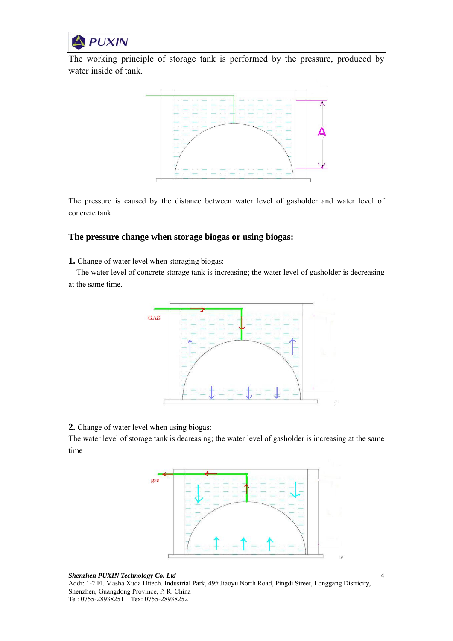

The working principle of storage tank is performed by the pressure, produced by water inside of tank.



The pressure is caused by the distance between water level of gasholder and water level of concrete tank

## **The pressure change when storage biogas or using biogas:**

**1.** Change of water level when storaging biogas:

The water level of concrete storage tank is increasing; the water level of gasholder is decreasing at the same time.



**2.** Change of water level when using biogas:

The water level of storage tank is decreasing; the water level of gasholder is increasing at the same time



*Shenzhen PUXIN Technology Co. Ltd*  Addr: 1-2 Fl. Masha Xuda Hitech. Industrial Park, 49# Jiaoyu North Road, Pingdi Street, Longgang Districity, Shenzhen, Guangdong Province, P. R. China Tel: 0755-28938251 Tex: 0755-28938252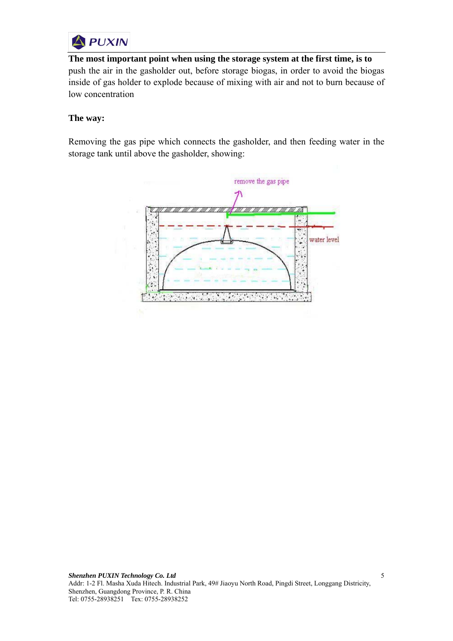

**The most important point when using the storage system at the first time, is to**  push the air in the gasholder out, before storage biogas, in order to avoid the biogas inside of gas holder to explode because of mixing with air and not to burn because of low concentration

## **The way:**

Removing the gas pipe which connects the gasholder, and then feeding water in the storage tank until above the gasholder, showing: